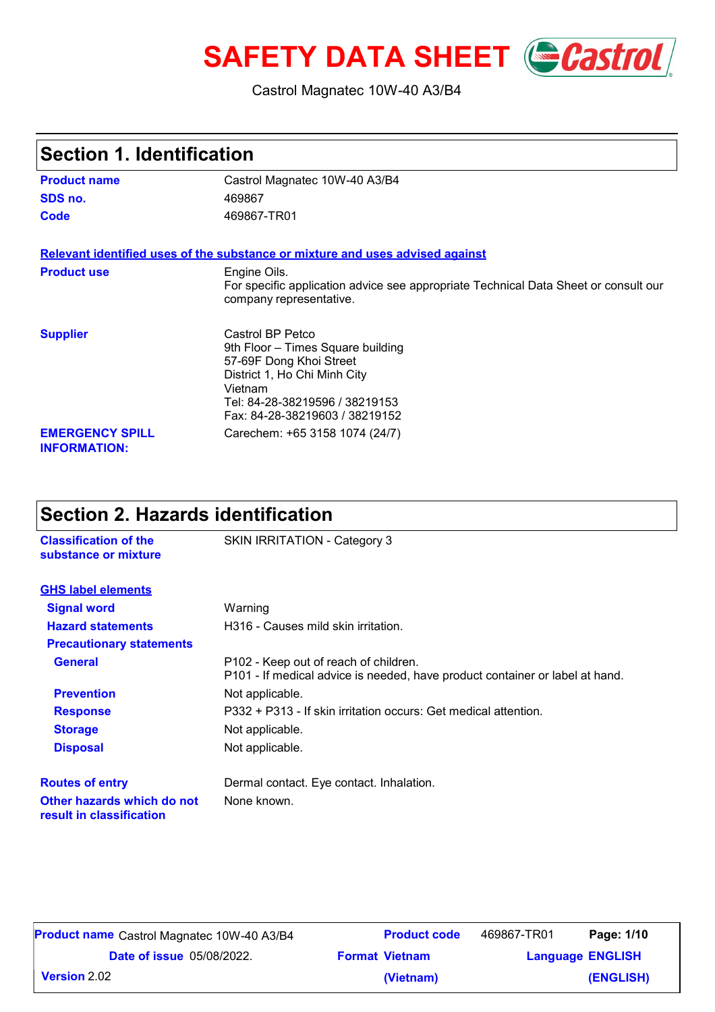# **SAFETY DATA SHEET** *Castrol*

#### Castrol Magnatec 10W-40 A3/B4

| <b>Section 1. Identification</b>              |                                                                                                                                                                                                 |
|-----------------------------------------------|-------------------------------------------------------------------------------------------------------------------------------------------------------------------------------------------------|
| <b>Product name</b>                           | Castrol Magnatec 10W-40 A3/B4                                                                                                                                                                   |
| SDS no.                                       | 469867                                                                                                                                                                                          |
| Code                                          | 469867-TR01                                                                                                                                                                                     |
|                                               | Relevant identified uses of the substance or mixture and uses advised against                                                                                                                   |
| <b>Product use</b>                            | Engine Oils.<br>For specific application advice see appropriate Technical Data Sheet or consult our<br>company representative.                                                                  |
| <b>Supplier</b>                               | Castrol BP Petco<br>9th Floor - Times Square building<br>57-69F Dong Khoi Street<br>District 1, Ho Chi Minh City<br>Vietnam<br>Tel: 84-28-38219596 / 38219153<br>Fax: 84-28-38219603 / 38219152 |
| <b>EMERGENCY SPILL</b><br><b>INFORMATION:</b> | Carechem: +65 3158 1074 (24/7)                                                                                                                                                                  |

#### **Section 2. Hazards identification**

**Classification of the** SKIN IRRITATION - Category 3

| substance or mixture                                   |                                                                                                                       |  |
|--------------------------------------------------------|-----------------------------------------------------------------------------------------------------------------------|--|
| <b>GHS label elements</b>                              |                                                                                                                       |  |
| <b>Signal word</b>                                     | Warning                                                                                                               |  |
| <b>Hazard statements</b>                               | H316 - Causes mild skin irritation.                                                                                   |  |
| <b>Precautionary statements</b>                        |                                                                                                                       |  |
| <b>General</b>                                         | P102 - Keep out of reach of children.<br>P101 - If medical advice is needed, have product container or label at hand. |  |
| <b>Prevention</b>                                      | Not applicable.                                                                                                       |  |
| <b>Response</b>                                        | P332 + P313 - If skin irritation occurs: Get medical attention.                                                       |  |
| <b>Storage</b>                                         | Not applicable.                                                                                                       |  |
| <b>Disposal</b>                                        | Not applicable.                                                                                                       |  |
| <b>Routes of entry</b>                                 | Dermal contact. Eye contact. Inhalation.                                                                              |  |
| Other hazards which do not<br>result in classification | None known.                                                                                                           |  |

| <b>Product name</b> Castrol Magnatec 10W-40 A3/B4 | <b>Product code</b>   | 469867-TR01             | Page: 1/10 |
|---------------------------------------------------|-----------------------|-------------------------|------------|
| <b>Date of issue</b> 05/08/2022.                  | <b>Format Vietnam</b> | <b>Language ENGLISH</b> |            |
| <b>Version 2.02</b>                               | (Vietnam)             |                         | (ENGLISH)  |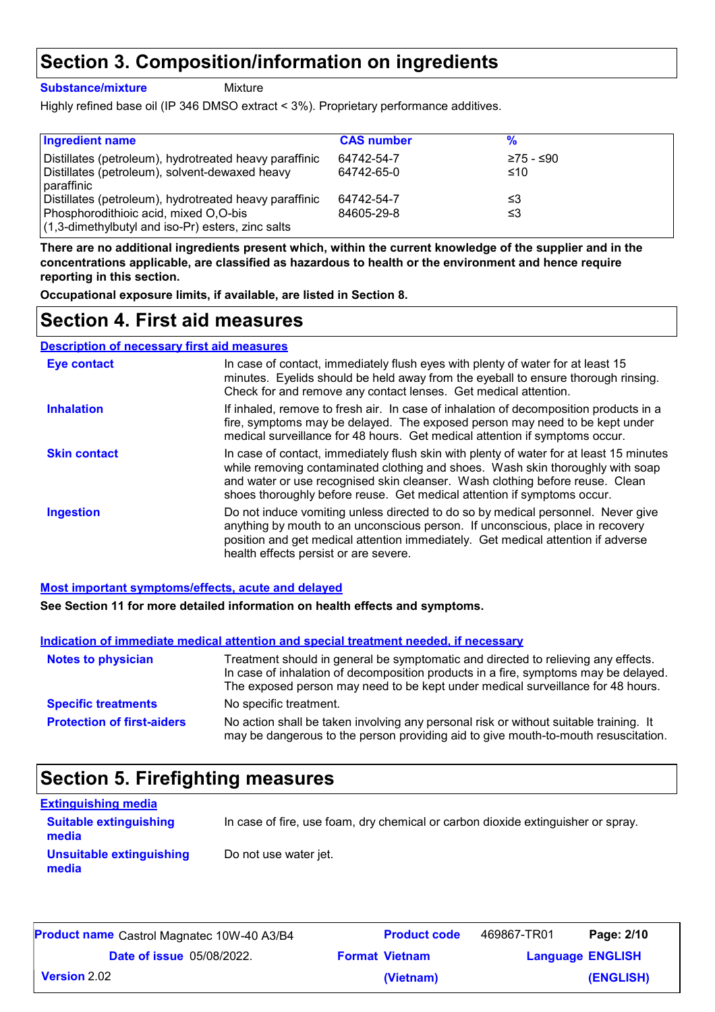### **Section 3. Composition/information on ingredients**

**Substance/mixture**

Mixture

Highly refined base oil (IP 346 DMSO extract < 3%). Proprietary performance additives.

| <b>Ingredient name</b>                                 | <b>CAS number</b> |           |
|--------------------------------------------------------|-------------------|-----------|
| Distillates (petroleum), hydrotreated heavy paraffinic | 64742-54-7        | ≥75 - ≤90 |
| Distillates (petroleum), solvent-dewaxed heavy         | 64742-65-0        | ≤10       |
| paraffinic                                             |                   |           |
| Distillates (petroleum), hydrotreated heavy paraffinic | 64742-54-7        | ≤3        |
| Phosphorodithioic acid, mixed O,O-bis                  | 84605-29-8        | ≤3        |
| $(1,3$ -dimethylbutyl and iso-Pr) esters, zinc salts   |                   |           |

**There are no additional ingredients present which, within the current knowledge of the supplier and in the concentrations applicable, are classified as hazardous to health or the environment and hence require reporting in this section.**

**Occupational exposure limits, if available, are listed in Section 8.**

#### **Section 4. First aid measures**

**Description of necessary first aid measures**

| <b>Eye contact</b>  | In case of contact, immediately flush eyes with plenty of water for at least 15<br>minutes. Eyelids should be held away from the eyeball to ensure thorough rinsing.<br>Check for and remove any contact lenses. Get medical attention.                                                                                              |
|---------------------|--------------------------------------------------------------------------------------------------------------------------------------------------------------------------------------------------------------------------------------------------------------------------------------------------------------------------------------|
| <b>Inhalation</b>   | If inhaled, remove to fresh air. In case of inhalation of decomposition products in a<br>fire, symptoms may be delayed. The exposed person may need to be kept under<br>medical surveillance for 48 hours. Get medical attention if symptoms occur.                                                                                  |
| <b>Skin contact</b> | In case of contact, immediately flush skin with plenty of water for at least 15 minutes<br>while removing contaminated clothing and shoes. Wash skin thoroughly with soap<br>and water or use recognised skin cleanser. Wash clothing before reuse. Clean<br>shoes thoroughly before reuse. Get medical attention if symptoms occur. |
| <b>Ingestion</b>    | Do not induce vomiting unless directed to do so by medical personnel. Never give<br>anything by mouth to an unconscious person. If unconscious, place in recovery<br>position and get medical attention immediately. Get medical attention if adverse<br>health effects persist or are severe.                                       |

#### **Most important symptoms/effects, acute and delayed**

**See Section 11 for more detailed information on health effects and symptoms.**

|                                   | Indication of immediate medical attention and special treatment needed, if necessary                                                                                                                                                                        |
|-----------------------------------|-------------------------------------------------------------------------------------------------------------------------------------------------------------------------------------------------------------------------------------------------------------|
| <b>Notes to physician</b>         | Treatment should in general be symptomatic and directed to relieving any effects.<br>In case of inhalation of decomposition products in a fire, symptoms may be delayed.<br>The exposed person may need to be kept under medical surveillance for 48 hours. |
| <b>Specific treatments</b>        | No specific treatment.                                                                                                                                                                                                                                      |
| <b>Protection of first-aiders</b> | No action shall be taken involving any personal risk or without suitable training. It<br>may be dangerous to the person providing aid to give mouth-to-mouth resuscitation.                                                                                 |

### **Section 5. Firefighting measures**

| <b>Extinguishing media</b>               |                                                                                  |
|------------------------------------------|----------------------------------------------------------------------------------|
| <b>Suitable extinguishing</b><br>media   | In case of fire, use foam, dry chemical or carbon dioxide extinguisher or spray. |
| <b>Unsuitable extinguishing</b><br>media | Do not use water jet.                                                            |

| <b>Product name</b> Castrol Magnatec 10W-40 A3/B4 | <b>Product code</b>   | 469867-TR01 | Page: 2/10              |
|---------------------------------------------------|-----------------------|-------------|-------------------------|
| <b>Date of issue</b> 05/08/2022.                  | <b>Format Vietnam</b> |             | <b>Language ENGLISH</b> |
| <b>Version</b> 2.02                               | (Vietnam)             |             | (ENGLISH)               |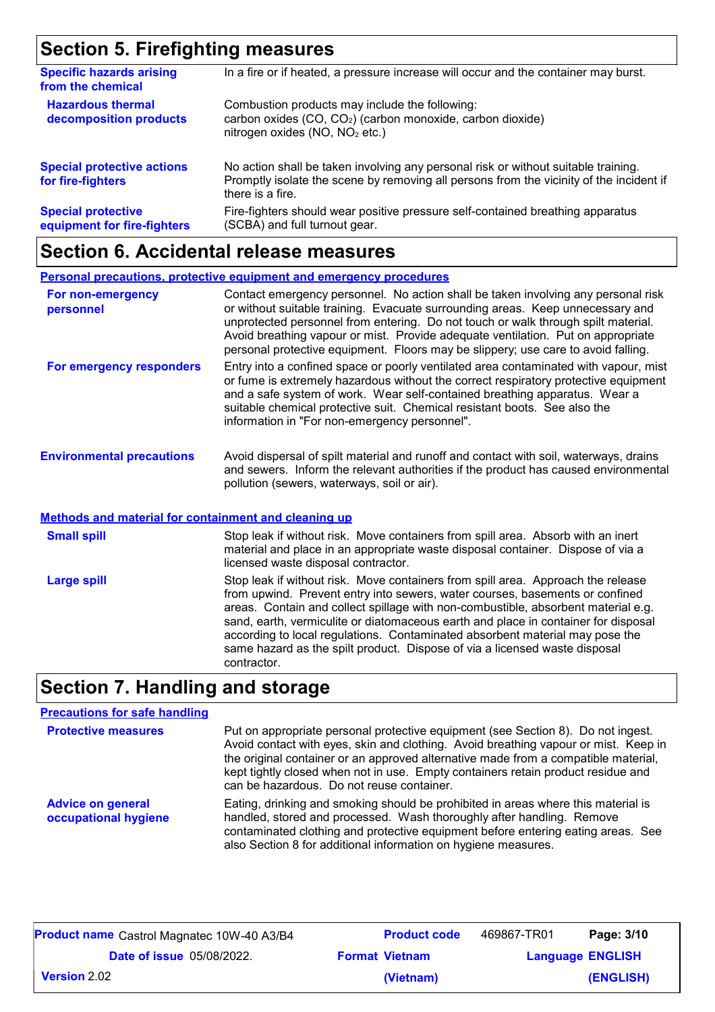### **Section 5. Firefighting measures**

| <b>Specific hazards arising</b><br>from the chemical     | In a fire or if heated, a pressure increase will occur and the container may burst.                                                                                                               |
|----------------------------------------------------------|---------------------------------------------------------------------------------------------------------------------------------------------------------------------------------------------------|
| <b>Hazardous thermal</b><br>decomposition products       | Combustion products may include the following:<br>carbon oxides (CO, CO <sub>2</sub> ) (carbon monoxide, carbon dioxide)<br>nitrogen oxides (NO, NO <sub>2</sub> etc.)                            |
| <b>Special protective actions</b><br>for fire-fighters   | No action shall be taken involving any personal risk or without suitable training.<br>Promptly isolate the scene by removing all persons from the vicinity of the incident if<br>there is a fire. |
| <b>Special protective</b><br>equipment for fire-fighters | Fire-fighters should wear positive pressure self-contained breathing apparatus<br>(SCBA) and full turnout gear.                                                                                   |

## **Section 6. Accidental release measures**

|                                                      | <b>Personal precautions, protective equipment and emergency procedures</b>                                                                                                                                                                                                                                                                                                                                                        |
|------------------------------------------------------|-----------------------------------------------------------------------------------------------------------------------------------------------------------------------------------------------------------------------------------------------------------------------------------------------------------------------------------------------------------------------------------------------------------------------------------|
| For non-emergency<br>personnel                       | Contact emergency personnel. No action shall be taken involving any personal risk<br>or without suitable training. Evacuate surrounding areas. Keep unnecessary and<br>unprotected personnel from entering. Do not touch or walk through spilt material.<br>Avoid breathing vapour or mist. Provide adequate ventilation. Put on appropriate<br>personal protective equipment. Floors may be slippery; use care to avoid falling. |
| For emergency responders                             | Entry into a confined space or poorly ventilated area contaminated with vapour, mist<br>or fume is extremely hazardous without the correct respiratory protective equipment<br>and a safe system of work. Wear self-contained breathing apparatus. Wear a<br>suitable chemical protective suit. Chemical resistant boots. See also the<br>information in "For non-emergency personnel".                                           |
| <b>Environmental precautions</b>                     | Avoid dispersal of spilt material and runoff and contact with soil, waterways, drains<br>and sewers. Inform the relevant authorities if the product has caused environmental<br>pollution (sewers, waterways, soil or air).                                                                                                                                                                                                       |
| Methods and material for containment and cleaning up |                                                                                                                                                                                                                                                                                                                                                                                                                                   |
| <b>Small spill</b>                                   | Stop leak if without risk. Move containers from spill area. Absorb with an inert                                                                                                                                                                                                                                                                                                                                                  |

|                     | <u>inclifed and malchard containment and cleaning ap</u> |  |
|---------------------|----------------------------------------------------------|--|
| <b>Conall anill</b> | Stan look if without riak Mayo                           |  |

|             | material and place in an appropriate waste disposal container. Dispose of via a<br>licensed waste disposal contractor.                                                                                                                                                                                                                                                                                                                                                                                                   |
|-------------|--------------------------------------------------------------------------------------------------------------------------------------------------------------------------------------------------------------------------------------------------------------------------------------------------------------------------------------------------------------------------------------------------------------------------------------------------------------------------------------------------------------------------|
| Large spill | Stop leak if without risk. Move containers from spill area. Approach the release<br>from upwind. Prevent entry into sewers, water courses, basements or confined<br>areas. Contain and collect spillage with non-combustible, absorbent material e.g.<br>sand, earth, vermiculite or diatomaceous earth and place in container for disposal<br>according to local regulations. Contaminated absorbent material may pose the<br>same hazard as the spilt product. Dispose of via a licensed waste disposal<br>contractor. |

## **Section 7. Handling and storage**

| <b>Precautions for safe handling</b>             |                                                                                                                                                                                                                                                                                                                                                                                                |
|--------------------------------------------------|------------------------------------------------------------------------------------------------------------------------------------------------------------------------------------------------------------------------------------------------------------------------------------------------------------------------------------------------------------------------------------------------|
| <b>Protective measures</b>                       | Put on appropriate personal protective equipment (see Section 8). Do not ingest.<br>Avoid contact with eyes, skin and clothing. Avoid breathing vapour or mist. Keep in<br>the original container or an approved alternative made from a compatible material,<br>kept tightly closed when not in use. Empty containers retain product residue and<br>can be hazardous. Do not reuse container. |
| <b>Advice on general</b><br>occupational hygiene | Eating, drinking and smoking should be prohibited in areas where this material is<br>handled, stored and processed. Wash thoroughly after handling. Remove<br>contaminated clothing and protective equipment before entering eating areas. See<br>also Section 8 for additional information on hygiene measures.                                                                               |

| <b>Product name</b> Castrol Magnatec 10W-40 A3/B4 | <b>Product code</b>   | 469867-TR01 | Page: 3/10              |
|---------------------------------------------------|-----------------------|-------------|-------------------------|
| <b>Date of issue 05/08/2022.</b>                  | <b>Format Vietnam</b> |             | <b>Language ENGLISH</b> |
| <b>Version</b> 2.02                               | (Vietnam)             |             | (ENGLISH)               |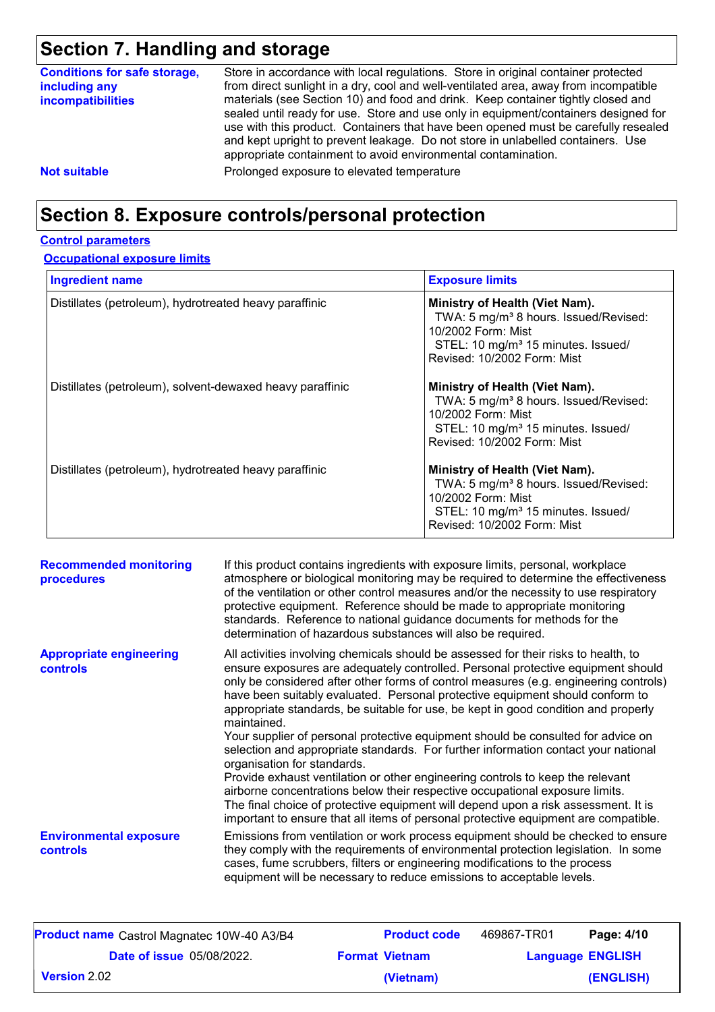## **Section 7. Handling and storage**

| <b>Conditions for safe storage,</b><br>including any<br><b>incompatibilities</b> | Store in accordance with local regulations. Store in original container protected<br>from direct sunlight in a dry, cool and well-ventilated area, away from incompatible<br>materials (see Section 10) and food and drink. Keep container tightly closed and<br>sealed until ready for use. Store and use only in equipment/containers designed for<br>use with this product. Containers that have been opened must be carefully resealed<br>and kept upright to prevent leakage. Do not store in unlabelled containers. Use<br>appropriate containment to avoid environmental contamination. |
|----------------------------------------------------------------------------------|------------------------------------------------------------------------------------------------------------------------------------------------------------------------------------------------------------------------------------------------------------------------------------------------------------------------------------------------------------------------------------------------------------------------------------------------------------------------------------------------------------------------------------------------------------------------------------------------|
| <b>Not suitable</b>                                                              | Prolonged exposure to elevated temperature                                                                                                                                                                                                                                                                                                                                                                                                                                                                                                                                                     |

### **Section 8. Exposure controls/personal protection**

#### **Control parameters**

#### **Occupational exposure limits**

| <b>Ingredient name</b>                                    | <b>Exposure limits</b>                                                                                                                                                                     |
|-----------------------------------------------------------|--------------------------------------------------------------------------------------------------------------------------------------------------------------------------------------------|
| Distillates (petroleum), hydrotreated heavy paraffinic    | Ministry of Health (Viet Nam).<br>TWA: 5 mg/m <sup>3</sup> 8 hours. Issued/Revised:<br>10/2002 Form: Mist<br>STEL: 10 mg/m <sup>3</sup> 15 minutes. Issued/<br>Revised: 10/2002 Form: Mist |
| Distillates (petroleum), solvent-dewaxed heavy paraffinic | Ministry of Health (Viet Nam).<br>TWA: 5 mg/m <sup>3</sup> 8 hours. Issued/Revised:<br>10/2002 Form: Mist<br>STEL: 10 mg/m <sup>3</sup> 15 minutes. Issued/<br>Revised: 10/2002 Form: Mist |
| Distillates (petroleum), hydrotreated heavy paraffinic    | Ministry of Health (Viet Nam).<br>TWA: 5 mg/m <sup>3</sup> 8 hours. Issued/Revised:<br>10/2002 Form: Mist<br>STEL: 10 mg/m <sup>3</sup> 15 minutes. Issued/<br>Revised: 10/2002 Form: Mist |

| <b>Recommended monitoring</b><br>procedures      | If this product contains ingredients with exposure limits, personal, workplace<br>atmosphere or biological monitoring may be required to determine the effectiveness<br>of the ventilation or other control measures and/or the necessity to use respiratory<br>protective equipment. Reference should be made to appropriate monitoring<br>standards. Reference to national guidance documents for methods for the<br>determination of hazardous substances will also be required.                                                                                                                                                                                                                                                                                                                                                                                                                                                                                                                           |
|--------------------------------------------------|---------------------------------------------------------------------------------------------------------------------------------------------------------------------------------------------------------------------------------------------------------------------------------------------------------------------------------------------------------------------------------------------------------------------------------------------------------------------------------------------------------------------------------------------------------------------------------------------------------------------------------------------------------------------------------------------------------------------------------------------------------------------------------------------------------------------------------------------------------------------------------------------------------------------------------------------------------------------------------------------------------------|
| <b>Appropriate engineering</b><br>controls       | All activities involving chemicals should be assessed for their risks to health, to<br>ensure exposures are adequately controlled. Personal protective equipment should<br>only be considered after other forms of control measures (e.g. engineering controls)<br>have been suitably evaluated. Personal protective equipment should conform to<br>appropriate standards, be suitable for use, be kept in good condition and properly<br>maintained.<br>Your supplier of personal protective equipment should be consulted for advice on<br>selection and appropriate standards. For further information contact your national<br>organisation for standards.<br>Provide exhaust ventilation or other engineering controls to keep the relevant<br>airborne concentrations below their respective occupational exposure limits.<br>The final choice of protective equipment will depend upon a risk assessment. It is<br>important to ensure that all items of personal protective equipment are compatible. |
| <b>Environmental exposure</b><br><b>controls</b> | Emissions from ventilation or work process equipment should be checked to ensure<br>they comply with the requirements of environmental protection legislation. In some<br>cases, fume scrubbers, filters or engineering modifications to the process<br>equipment will be necessary to reduce emissions to acceptable levels.                                                                                                                                                                                                                                                                                                                                                                                                                                                                                                                                                                                                                                                                                 |

| <b>Product name</b> Castrol Magnatec 10W-40 A3/B4 | <b>Product code</b>   | 469867-TR01 | Page: 4/10              |
|---------------------------------------------------|-----------------------|-------------|-------------------------|
| <b>Date of issue 05/08/2022.</b>                  | <b>Format Vietnam</b> |             | <b>Language ENGLISH</b> |
| $\mid$ Version 2.02 $\mid$                        | (Vietnam)             |             | (ENGLISH)               |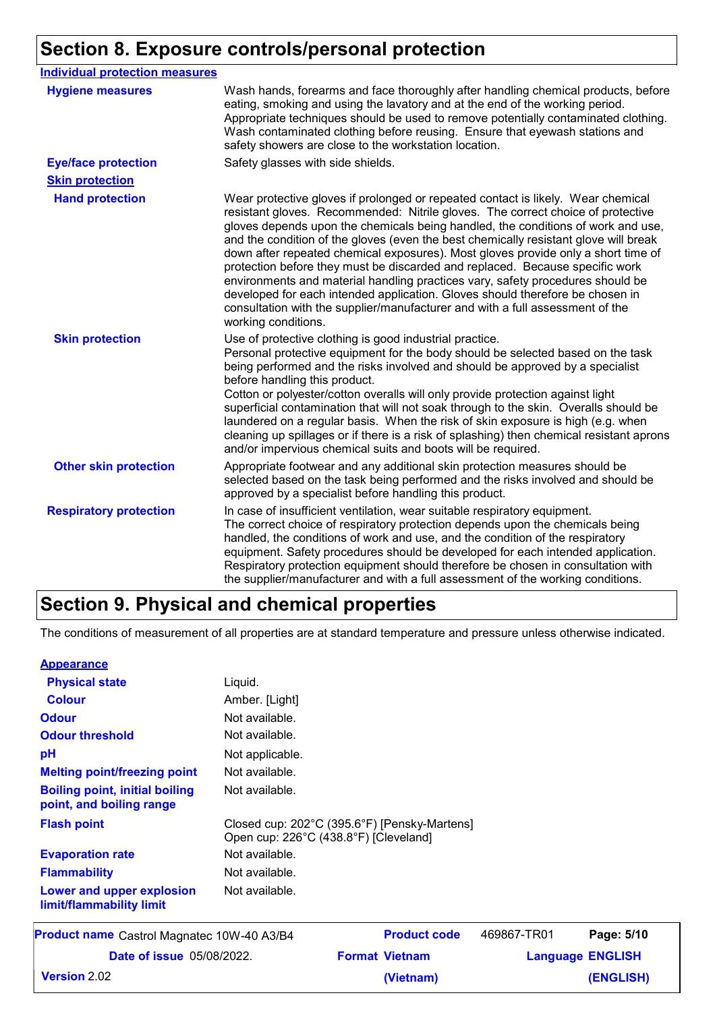### **Section 8. Exposure controls/personal protection**

| <b>Individual protection measures</b> |                                                                                                                                                                                                                                                                                                                                                                                                                                                                                                                                                                                                                                                                                                                                                                                                 |
|---------------------------------------|-------------------------------------------------------------------------------------------------------------------------------------------------------------------------------------------------------------------------------------------------------------------------------------------------------------------------------------------------------------------------------------------------------------------------------------------------------------------------------------------------------------------------------------------------------------------------------------------------------------------------------------------------------------------------------------------------------------------------------------------------------------------------------------------------|
| <b>Hygiene measures</b>               | Wash hands, forearms and face thoroughly after handling chemical products, before<br>eating, smoking and using the lavatory and at the end of the working period.<br>Appropriate techniques should be used to remove potentially contaminated clothing.<br>Wash contaminated clothing before reusing. Ensure that eyewash stations and<br>safety showers are close to the workstation location.                                                                                                                                                                                                                                                                                                                                                                                                 |
| <b>Eye/face protection</b>            | Safety glasses with side shields.                                                                                                                                                                                                                                                                                                                                                                                                                                                                                                                                                                                                                                                                                                                                                               |
| <b>Skin protection</b>                |                                                                                                                                                                                                                                                                                                                                                                                                                                                                                                                                                                                                                                                                                                                                                                                                 |
| <b>Hand protection</b>                | Wear protective gloves if prolonged or repeated contact is likely. Wear chemical<br>resistant gloves. Recommended: Nitrile gloves. The correct choice of protective<br>gloves depends upon the chemicals being handled, the conditions of work and use,<br>and the condition of the gloves (even the best chemically resistant glove will break<br>down after repeated chemical exposures). Most gloves provide only a short time of<br>protection before they must be discarded and replaced. Because specific work<br>environments and material handling practices vary, safety procedures should be<br>developed for each intended application. Gloves should therefore be chosen in<br>consultation with the supplier/manufacturer and with a full assessment of the<br>working conditions. |
| <b>Skin protection</b>                | Use of protective clothing is good industrial practice.<br>Personal protective equipment for the body should be selected based on the task<br>being performed and the risks involved and should be approved by a specialist<br>before handling this product.<br>Cotton or polyester/cotton overalls will only provide protection against light<br>superficial contamination that will not soak through to the skin. Overalls should be<br>laundered on a regular basis. When the risk of skin exposure is high (e.g. when<br>cleaning up spillages or if there is a risk of splashing) then chemical resistant aprons<br>and/or impervious chemical suits and boots will be required.                                                                                                           |
| <b>Other skin protection</b>          | Appropriate footwear and any additional skin protection measures should be<br>selected based on the task being performed and the risks involved and should be<br>approved by a specialist before handling this product.                                                                                                                                                                                                                                                                                                                                                                                                                                                                                                                                                                         |
| <b>Respiratory protection</b>         | In case of insufficient ventilation, wear suitable respiratory equipment.<br>The correct choice of respiratory protection depends upon the chemicals being<br>handled, the conditions of work and use, and the condition of the respiratory<br>equipment. Safety procedures should be developed for each intended application.<br>Respiratory protection equipment should therefore be chosen in consultation with<br>the supplier/manufacturer and with a full assessment of the working conditions.                                                                                                                                                                                                                                                                                           |

### **Section 9. Physical and chemical properties**

The conditions of measurement of all properties are at standard temperature and pressure unless otherwise indicated.

| <b>Appearance</b>                                                 |                                                    |
|-------------------------------------------------------------------|----------------------------------------------------|
| <b>Physical state</b>                                             | Liquid.                                            |
| <b>Colour</b>                                                     | Amber. [Light]                                     |
| <b>Odour</b>                                                      | Not available.                                     |
| <b>Odour threshold</b>                                            | Not available.                                     |
| рH                                                                | Not applicable.                                    |
| <b>Melting point/freezing point</b>                               | Not available.                                     |
| <b>Boiling point, initial boiling</b><br>point, and boiling range | Not available.                                     |
| <b>Flash point</b>                                                | Closed cup: 202°C (395.<br>Open cup: 226°C (438.8° |
| <b>Evaporation rate</b>                                           | Not available.                                     |
| <b>Flammability</b>                                               | Not available.                                     |
|                                                                   |                                                    |

## Not available.  $6°F$ ) [Pensky-Martens]  $\degree$ F) [Cleveland] **Lower and upper explosion limit/flammability limit** 469867-TR01 **Pa**

| <b>Product name</b> Castrol Magnatec 10W-40 A3/B4 | <b>Product code</b>   | 469867-TR01 | Page: 5/10              |
|---------------------------------------------------|-----------------------|-------------|-------------------------|
| <b>Date of issue 05/08/2022.</b>                  | <b>Format Vietnam</b> |             | <b>Language ENGLISH</b> |
| Version 2.02                                      | (Vietnam)             |             | (ENGLISH)               |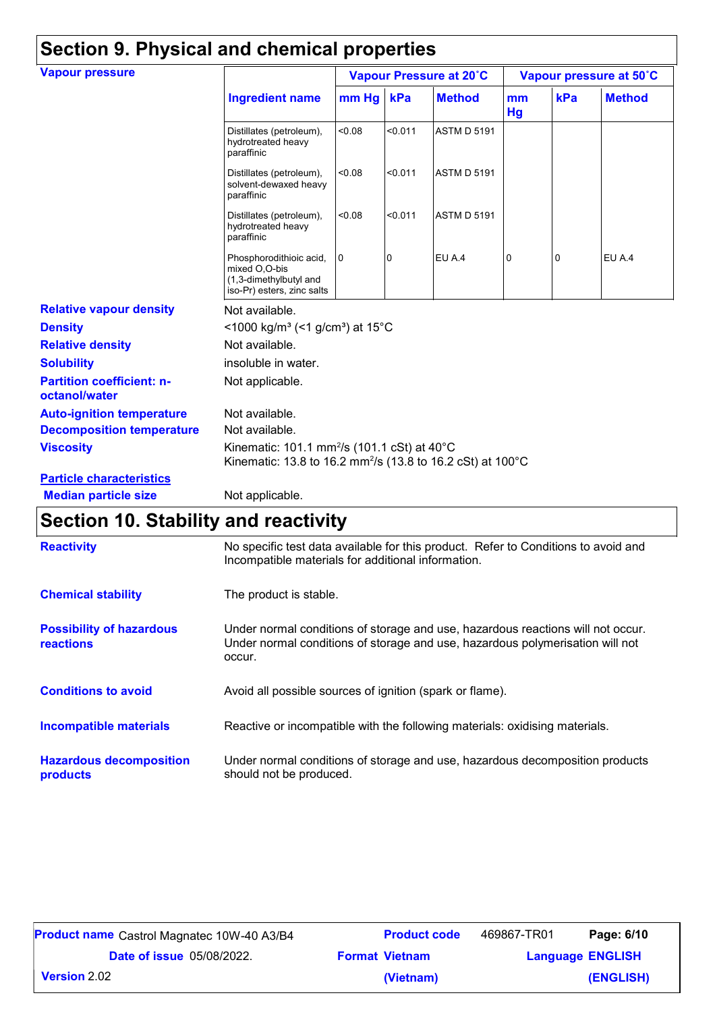| <b>Vapour pressure</b>                            |                                                                                                                                   | Vapour Pressure at 20°C |         |                    |          | Vapour pressure at 50°C |               |  |
|---------------------------------------------------|-----------------------------------------------------------------------------------------------------------------------------------|-------------------------|---------|--------------------|----------|-------------------------|---------------|--|
|                                                   | <b>Ingredient name</b>                                                                                                            | mm Hg kPa               |         | <b>Method</b>      | mm<br>Hg | kPa                     | <b>Method</b> |  |
|                                                   | Distillates (petroleum),<br>hydrotreated heavy<br>paraffinic                                                                      | < 0.08                  | < 0.011 | <b>ASTM D 5191</b> |          |                         |               |  |
|                                                   | Distillates (petroleum),<br>solvent-dewaxed heavy<br>paraffinic                                                                   | <0.08                   | < 0.011 | <b>ASTM D 5191</b> |          |                         |               |  |
|                                                   | Distillates (petroleum),<br>hydrotreated heavy<br>paraffinic                                                                      | < 0.08                  | < 0.011 | <b>ASTM D 5191</b> |          |                         |               |  |
|                                                   | Phosphorodithioic acid,<br>mixed O,O-bis<br>(1,3-dimethylbutyl and<br>iso-Pr) esters, zinc salts                                  | <b>O</b>                | 0       | EU A.4             | 0        | 0                       | EU A.4        |  |
| <b>Relative vapour density</b>                    | Not available.                                                                                                                    |                         |         |                    |          |                         |               |  |
| <b>Density</b>                                    | <1000 kg/m <sup>3</sup> (<1 g/cm <sup>3</sup> ) at 15°C                                                                           |                         |         |                    |          |                         |               |  |
| <b>Relative density</b>                           | Not available.                                                                                                                    |                         |         |                    |          |                         |               |  |
| <b>Solubility</b>                                 | insoluble in water.                                                                                                               |                         |         |                    |          |                         |               |  |
| <b>Partition coefficient: n-</b><br>octanol/water | Not applicable.                                                                                                                   |                         |         |                    |          |                         |               |  |
| <b>Auto-ignition temperature</b>                  | Not available.                                                                                                                    |                         |         |                    |          |                         |               |  |
| <b>Decomposition temperature</b>                  | Not available.                                                                                                                    |                         |         |                    |          |                         |               |  |
| <b>Viscosity</b>                                  | Kinematic: 101.1 mm <sup>2</sup> /s (101.1 cSt) at 40°C<br>Kinematic: 13.8 to 16.2 mm <sup>2</sup> /s (13.8 to 16.2 cSt) at 100°C |                         |         |                    |          |                         |               |  |
| <b>Particle characteristics</b>                   |                                                                                                                                   |                         |         |                    |          |                         |               |  |
| <b>Median particle size</b>                       | Not applicable.                                                                                                                   |                         |         |                    |          |                         |               |  |

## **Section 10. Stability and reactivity**

| <b>Reactivity</b>                            | No specific test data available for this product. Refer to Conditions to avoid and<br>Incompatible materials for additional information.                                   |  |  |
|----------------------------------------------|----------------------------------------------------------------------------------------------------------------------------------------------------------------------------|--|--|
| <b>Chemical stability</b>                    | The product is stable.                                                                                                                                                     |  |  |
| <b>Possibility of hazardous</b><br>reactions | Under normal conditions of storage and use, hazardous reactions will not occur.<br>Under normal conditions of storage and use, hazardous polymerisation will not<br>occur. |  |  |
| <b>Conditions to avoid</b>                   | Avoid all possible sources of ignition (spark or flame).                                                                                                                   |  |  |
| <b>Incompatible materials</b>                | Reactive or incompatible with the following materials: oxidising materials.                                                                                                |  |  |
| <b>Hazardous decomposition</b><br>products   | Under normal conditions of storage and use, hazardous decomposition products<br>should not be produced.                                                                    |  |  |

| <b>Product name</b> Castrol Magnatec 10W-40 A3/B4 | <b>Product code</b>   | 469867-TR01             | Page: 6/10 |
|---------------------------------------------------|-----------------------|-------------------------|------------|
| <b>Date of issue 05/08/2022.</b>                  | <b>Format Vietnam</b> | <b>Language ENGLISH</b> |            |
| <b>Version</b> 2.02                               | (Vietnam)             |                         | (ENGLISH)  |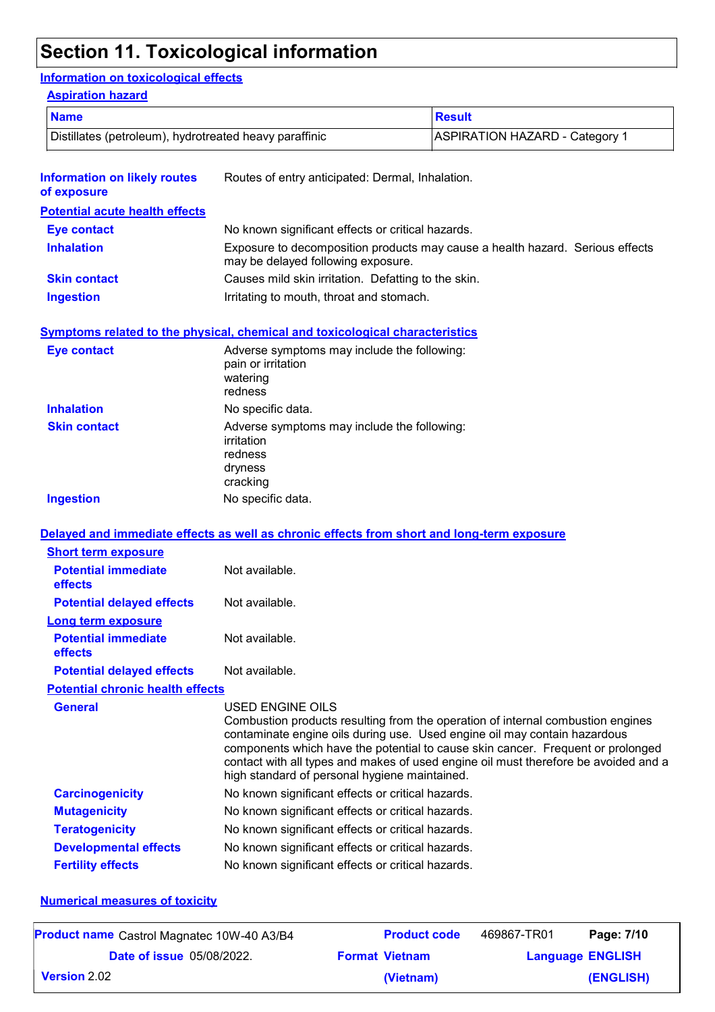## **Section 11. Toxicological information**

#### **Information on toxicological effects**

#### **Aspiration hazard**

| <b>Name</b>                                            |                                                                                             | <b>Result</b>                                                                                                                                                                                                                                                                                                                          |  |
|--------------------------------------------------------|---------------------------------------------------------------------------------------------|----------------------------------------------------------------------------------------------------------------------------------------------------------------------------------------------------------------------------------------------------------------------------------------------------------------------------------------|--|
| Distillates (petroleum), hydrotreated heavy paraffinic |                                                                                             | <b>ASPIRATION HAZARD - Category 1</b>                                                                                                                                                                                                                                                                                                  |  |
| <b>Information on likely routes</b><br>of exposure     | Routes of entry anticipated: Dermal, Inhalation.                                            |                                                                                                                                                                                                                                                                                                                                        |  |
| <b>Potential acute health effects</b>                  |                                                                                             |                                                                                                                                                                                                                                                                                                                                        |  |
| <b>Eye contact</b>                                     | No known significant effects or critical hazards.                                           |                                                                                                                                                                                                                                                                                                                                        |  |
| <b>Inhalation</b>                                      | may be delayed following exposure.                                                          | Exposure to decomposition products may cause a health hazard. Serious effects                                                                                                                                                                                                                                                          |  |
| <b>Skin contact</b>                                    | Causes mild skin irritation. Defatting to the skin.                                         |                                                                                                                                                                                                                                                                                                                                        |  |
| <b>Ingestion</b>                                       | Irritating to mouth, throat and stomach.                                                    |                                                                                                                                                                                                                                                                                                                                        |  |
|                                                        | Symptoms related to the physical, chemical and toxicological characteristics                |                                                                                                                                                                                                                                                                                                                                        |  |
| <b>Eye contact</b>                                     | Adverse symptoms may include the following:<br>pain or irritation<br>watering<br>redness    |                                                                                                                                                                                                                                                                                                                                        |  |
| <b>Inhalation</b>                                      | No specific data.                                                                           |                                                                                                                                                                                                                                                                                                                                        |  |
| <b>Skin contact</b>                                    | Adverse symptoms may include the following:<br>irritation<br>redness<br>dryness<br>cracking |                                                                                                                                                                                                                                                                                                                                        |  |
| <b>Ingestion</b>                                       | No specific data.                                                                           |                                                                                                                                                                                                                                                                                                                                        |  |
|                                                        |                                                                                             |                                                                                                                                                                                                                                                                                                                                        |  |
| <b>Short term exposure</b>                             |                                                                                             | Delayed and immediate effects as well as chronic effects from short and long-term exposure                                                                                                                                                                                                                                             |  |
| <b>Potential immediate</b><br>effects                  | Not available.                                                                              |                                                                                                                                                                                                                                                                                                                                        |  |
| <b>Potential delayed effects</b>                       | Not available.                                                                              |                                                                                                                                                                                                                                                                                                                                        |  |
| <b>Long term exposure</b>                              |                                                                                             |                                                                                                                                                                                                                                                                                                                                        |  |
| <b>Potential immediate</b><br>effects                  | Not available.                                                                              |                                                                                                                                                                                                                                                                                                                                        |  |
| <b>Potential delayed effects</b>                       | Not available.                                                                              |                                                                                                                                                                                                                                                                                                                                        |  |
| <b>Potential chronic health effects</b>                |                                                                                             |                                                                                                                                                                                                                                                                                                                                        |  |
| <b>General</b>                                         | USED ENGINE OILS<br>high standard of personal hygiene maintained.                           | Combustion products resulting from the operation of internal combustion engines<br>contaminate engine oils during use. Used engine oil may contain hazardous<br>components which have the potential to cause skin cancer. Frequent or prolonged<br>contact with all types and makes of used engine oil must therefore be avoided and a |  |
| <b>Carcinogenicity</b>                                 | No known significant effects or critical hazards.                                           |                                                                                                                                                                                                                                                                                                                                        |  |
| <b>Mutagenicity</b>                                    | No known significant effects or critical hazards.                                           |                                                                                                                                                                                                                                                                                                                                        |  |
| <b>Teratogenicity</b>                                  | No known significant effects or critical hazards.                                           |                                                                                                                                                                                                                                                                                                                                        |  |
| <b>Developmental effects</b>                           | No known significant effects or critical hazards.                                           |                                                                                                                                                                                                                                                                                                                                        |  |
| <b>Fertility effects</b>                               | No known significant effects or critical hazards.                                           |                                                                                                                                                                                                                                                                                                                                        |  |

#### **Numerical measures of toxicity**

| <b>Product name</b> Castrol Magnatec 10W-40 A3/B4 | <b>Product code</b>   | 469867-TR01 | Page: 7/10              |
|---------------------------------------------------|-----------------------|-------------|-------------------------|
| <b>Date of issue 05/08/2022.</b>                  | <b>Format Vietnam</b> |             | <b>Language ENGLISH</b> |
| Version 2.02                                      | (Vietnam)             |             | (ENGLISH)               |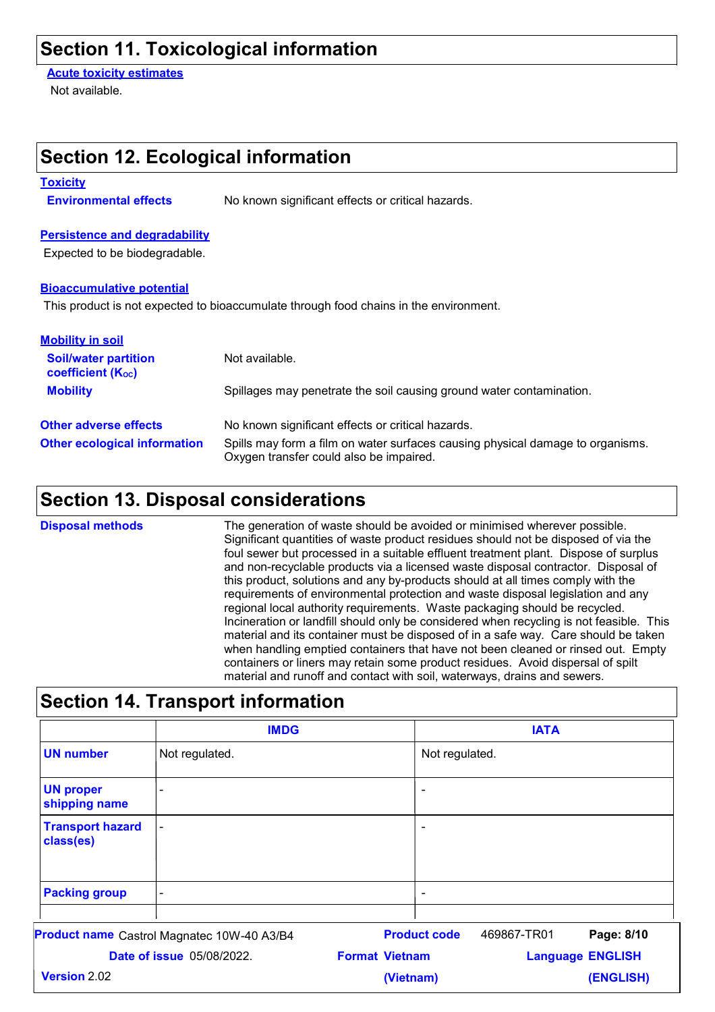### **Section 11. Toxicological information**

**Section 12. Ecological information**

**Acute toxicity estimates**

Not available.

| <b>Toxicity</b><br><b>Environmental effects</b>                                    |                                  | No known significant effects or critical hazards.                                                                                                                                                                                                                                                                                                                                                                                                                                                                                                                                                                                                                                                                                                                                                                                                                                                                                                                                                                                   |           |                                                                      |                                        |            |
|------------------------------------------------------------------------------------|----------------------------------|-------------------------------------------------------------------------------------------------------------------------------------------------------------------------------------------------------------------------------------------------------------------------------------------------------------------------------------------------------------------------------------------------------------------------------------------------------------------------------------------------------------------------------------------------------------------------------------------------------------------------------------------------------------------------------------------------------------------------------------------------------------------------------------------------------------------------------------------------------------------------------------------------------------------------------------------------------------------------------------------------------------------------------------|-----------|----------------------------------------------------------------------|----------------------------------------|------------|
| <b>Persistence and degradability</b><br>Expected to be biodegradable.              |                                  |                                                                                                                                                                                                                                                                                                                                                                                                                                                                                                                                                                                                                                                                                                                                                                                                                                                                                                                                                                                                                                     |           |                                                                      |                                        |            |
| <b>Bioaccumulative potential</b>                                                   |                                  | This product is not expected to bioaccumulate through food chains in the environment.                                                                                                                                                                                                                                                                                                                                                                                                                                                                                                                                                                                                                                                                                                                                                                                                                                                                                                                                               |           |                                                                      |                                        |            |
| <b>Mobility in soil</b><br><b>Soil/water partition</b><br><b>coefficient (Koc)</b> |                                  | Not available.                                                                                                                                                                                                                                                                                                                                                                                                                                                                                                                                                                                                                                                                                                                                                                                                                                                                                                                                                                                                                      |           |                                                                      |                                        |            |
| <b>Mobility</b>                                                                    |                                  |                                                                                                                                                                                                                                                                                                                                                                                                                                                                                                                                                                                                                                                                                                                                                                                                                                                                                                                                                                                                                                     |           | Spillages may penetrate the soil causing ground water contamination. |                                        |            |
| <b>Other adverse effects</b>                                                       |                                  | No known significant effects or critical hazards.                                                                                                                                                                                                                                                                                                                                                                                                                                                                                                                                                                                                                                                                                                                                                                                                                                                                                                                                                                                   |           |                                                                      |                                        |            |
| <b>Other ecological information</b>                                                |                                  | Spills may form a film on water surfaces causing physical damage to organisms.<br>Oxygen transfer could also be impaired.                                                                                                                                                                                                                                                                                                                                                                                                                                                                                                                                                                                                                                                                                                                                                                                                                                                                                                           |           |                                                                      |                                        |            |
|                                                                                    |                                  | <b>Section 13. Disposal considerations</b>                                                                                                                                                                                                                                                                                                                                                                                                                                                                                                                                                                                                                                                                                                                                                                                                                                                                                                                                                                                          |           |                                                                      |                                        |            |
| <b>Disposal methods</b>                                                            |                                  | The generation of waste should be avoided or minimised wherever possible.<br>Significant quantities of waste product residues should not be disposed of via the<br>foul sewer but processed in a suitable effluent treatment plant. Dispose of surplus<br>and non-recyclable products via a licensed waste disposal contractor. Disposal of<br>this product, solutions and any by-products should at all times comply with the<br>requirements of environmental protection and waste disposal legislation and any<br>regional local authority requirements. Waste packaging should be recycled.<br>Incineration or landfill should only be considered when recycling is not feasible. This<br>material and its container must be disposed of in a safe way. Care should be taken<br>when handling emptied containers that have not been cleaned or rinsed out. Empty<br>containers or liners may retain some product residues. Avoid dispersal of spilt<br>material and runoff and contact with soil, waterways, drains and sewers. |           |                                                                      |                                        |            |
|                                                                                    |                                  | <b>Section 14. Transport information</b>                                                                                                                                                                                                                                                                                                                                                                                                                                                                                                                                                                                                                                                                                                                                                                                                                                                                                                                                                                                            |           |                                                                      |                                        |            |
| <b>UN number</b>                                                                   | Not regulated.                   | <b>IMDG</b>                                                                                                                                                                                                                                                                                                                                                                                                                                                                                                                                                                                                                                                                                                                                                                                                                                                                                                                                                                                                                         |           | Not regulated.                                                       | <b>IATA</b>                            |            |
| <b>UN proper</b><br>shipping name                                                  |                                  |                                                                                                                                                                                                                                                                                                                                                                                                                                                                                                                                                                                                                                                                                                                                                                                                                                                                                                                                                                                                                                     |           | ۰                                                                    |                                        |            |
| <b>Transport hazard</b><br>class(es)                                               |                                  |                                                                                                                                                                                                                                                                                                                                                                                                                                                                                                                                                                                                                                                                                                                                                                                                                                                                                                                                                                                                                                     |           |                                                                      |                                        |            |
| <b>Packing group</b>                                                               |                                  |                                                                                                                                                                                                                                                                                                                                                                                                                                                                                                                                                                                                                                                                                                                                                                                                                                                                                                                                                                                                                                     |           | $\qquad \qquad \blacksquare$                                         |                                        |            |
| <b>Product name</b> Castrol Magnatec 10W-40 A3/B4                                  | <b>Date of issue 05/08/2022.</b> | <b>Format Vietnam</b>                                                                                                                                                                                                                                                                                                                                                                                                                                                                                                                                                                                                                                                                                                                                                                                                                                                                                                                                                                                                               |           | <b>Product code</b>                                                  | 469867-TR01<br><b>Language ENGLISH</b> | Page: 8/10 |
| <b>Version 2.02</b>                                                                |                                  |                                                                                                                                                                                                                                                                                                                                                                                                                                                                                                                                                                                                                                                                                                                                                                                                                                                                                                                                                                                                                                     | (Vietnam) |                                                                      |                                        | (ENGLISH)  |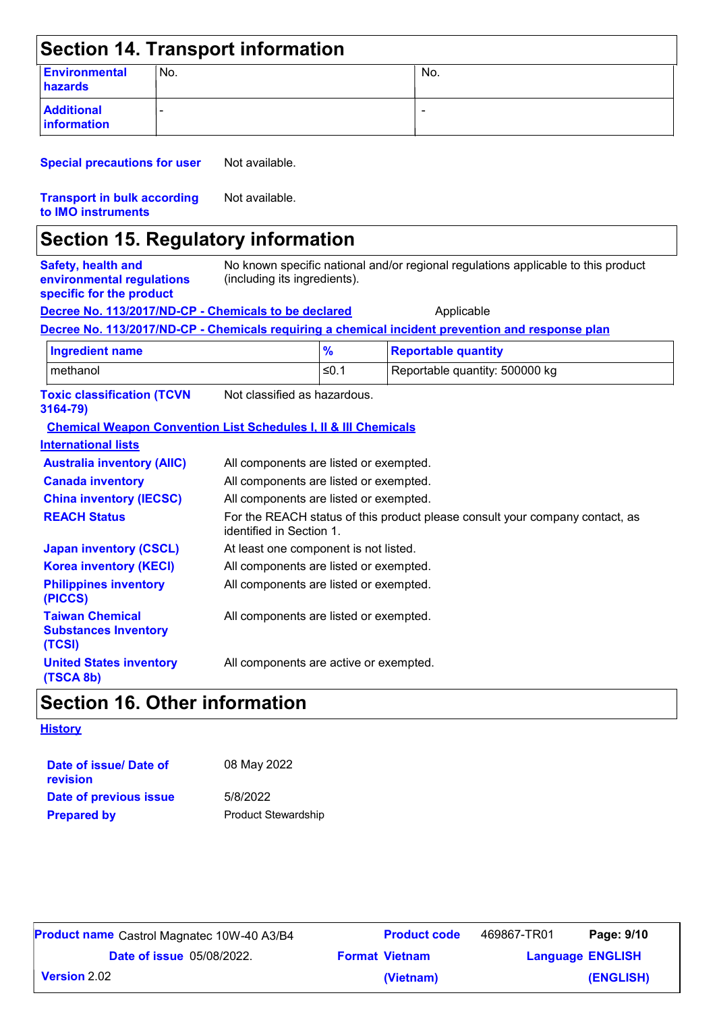|                                                                                    |     | <b>Section 14. Transport information</b>                                   |               |                                                                                                  |
|------------------------------------------------------------------------------------|-----|----------------------------------------------------------------------------|---------------|--------------------------------------------------------------------------------------------------|
| <b>Environmental</b><br>hazards                                                    | No. |                                                                            |               | No.                                                                                              |
| <b>Additional</b><br>information                                                   |     |                                                                            |               |                                                                                                  |
| <b>Special precautions for user</b>                                                |     | Not available.                                                             |               |                                                                                                  |
| <b>Transport in bulk according</b><br>to IMO instruments                           |     | Not available.                                                             |               |                                                                                                  |
|                                                                                    |     | <b>Section 15. Regulatory information</b>                                  |               |                                                                                                  |
| <b>Safety, health and</b><br>environmental regulations<br>specific for the product |     | (including its ingredients).                                               |               | No known specific national and/or regional regulations applicable to this product                |
|                                                                                    |     | Decree No. 113/2017/ND-CP - Chemicals to be declared                       |               | Applicable                                                                                       |
|                                                                                    |     |                                                                            |               | Decree No. 113/2017/ND-CP - Chemicals requiring a chemical incident prevention and response plan |
| <b>Ingredient name</b>                                                             |     |                                                                            | $\frac{9}{6}$ | <b>Reportable quantity</b>                                                                       |
| methanol                                                                           |     |                                                                            | $≤0.1$        | Reportable quantity: 500000 kg                                                                   |
| <b>Toxic classification (TCVN</b><br>3164-79)                                      |     | Not classified as hazardous.                                               |               |                                                                                                  |
|                                                                                    |     | <b>Chemical Weapon Convention List Schedules I, II &amp; III Chemicals</b> |               |                                                                                                  |
| <b>International lists</b>                                                         |     |                                                                            |               |                                                                                                  |
| <b>Australia inventory (AIIC)</b>                                                  |     | All components are listed or exempted.                                     |               |                                                                                                  |
| <b>Canada inventory</b>                                                            |     | All components are listed or exempted.                                     |               |                                                                                                  |
| <b>China inventory (IECSC)</b>                                                     |     | All components are listed or exempted.                                     |               |                                                                                                  |
| <b>REACH Status</b>                                                                |     | identified in Section 1.                                                   |               | For the REACH status of this product please consult your company contact, as                     |
| <b>Japan inventory (CSCL)</b>                                                      |     | At least one component is not listed.                                      |               |                                                                                                  |

| <u>Japan mventory (OJUL)</u>                                    | At least one component is not insted.  |
|-----------------------------------------------------------------|----------------------------------------|
| <b>Korea inventory (KECI)</b>                                   | All components are listed or exempted. |
| <b>Philippines inventory</b><br>(PICCS)                         | All components are listed or exempted. |
| <b>Taiwan Chemical</b><br><b>Substances Inventory</b><br>(TCSI) | All components are listed or exempted. |

### **Section 16. Other information**

**United States inventory** 

#### **History**

**(TSCA 8b)**

| Date of issue/ Date of<br>revision | 08 May 2022                |
|------------------------------------|----------------------------|
| Date of previous issue             | 5/8/2022                   |
| <b>Prepared by</b>                 | <b>Product Stewardship</b> |

| <b>Product name</b> Castrol Magnatec 10W-40 A3/B4 | <b>Product code</b>   | 469867-TR01 | Page: 9/10              |
|---------------------------------------------------|-----------------------|-------------|-------------------------|
| <b>Date of issue 05/08/2022.</b>                  | <b>Format Vietnam</b> |             | <b>Language ENGLISH</b> |
| <b>Version</b> 2.02                               | (Vietnam)             |             | (ENGLISH)               |

All components are active or exempted.